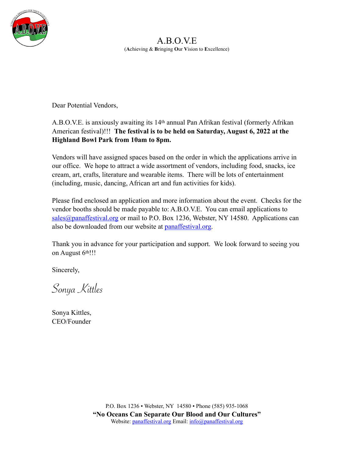

A.B.O.V.E (**A**chieving & **B**ringing **O**ur **V**ision to **E**xcellence)

Dear Potential Vendors,

### A.B.O.V.E. is anxiously awaiting its 14th annual Pan Afrikan festival (formerly Afrikan American festival)!!! **The festival is to be held on Saturday, August 6, 2022 at the Highland Bowl Park from 10am to 8pm.**

Vendors will have assigned spaces based on the order in which the applications arrive in our office. We hope to attract a wide assortment of vendors, including food, snacks, ice cream, art, crafts, literature and wearable items. There will be lots of entertainment (including, music, dancing, African art and fun activities for kids).

Please find enclosed an application and more information about the event. Checks for the vendor booths should be made payable to: A.B.O.V.E. You can email applications to [sales@panaffestival.org](mailto:sales@panaffestival.org) or mail to P.O. Box 1236, Webster, NY 14580. Applications can also be downloaded from our website at [panaffestival.org](https://panaffestival.org/).

Thank you in advance for your participation and support. We look forward to seeing you on August 6th!!!

Sincerely,

Sonya Kittles

Sonya Kittles, CEO/Founder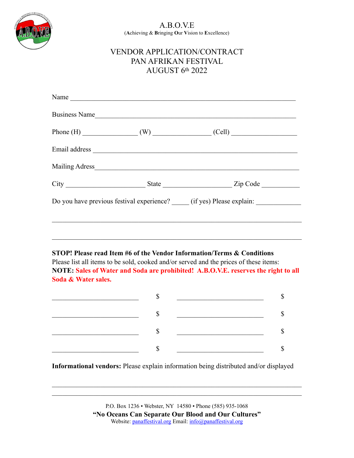

#### A.B.O.V.E (**A**chieving & **B**ringing **O**ur **V**ision to **E**xcellence)

## VENDOR APPLICATION/CONTRACT PAN AFRIKAN FESTIVAL AUGUST 6th 2022

| Do you have previous festival experience? (if yes) Please explain: |  |  |  |  |  |
|--------------------------------------------------------------------|--|--|--|--|--|
|                                                                    |  |  |  |  |  |
|                                                                    |  |  |  |  |  |
|                                                                    |  |  |  |  |  |

**STOP! Please read Item #6 of the Vendor Information/Terms & Conditions** Please list all items to be sold, cooked and/or served and the prices of these items: **NOTE: Sales of Water and Soda are prohibited! A.B.O.V.E. reserves the right to all Soda & Water sales.**

**Informational vendors:** Please explain information being distributed and/or displayed

P.O. Box 1236 • Webster, NY 14580 • Phone (585) 935-1068 **"No Oceans Can Separate Our Blood and Our Cultures"** Website: [panaffestival.org](https://panaffestival.org/) Email: [info@panaffestival.org](mailto:info@panaffestival.org)

 $\mathcal{L}_\text{max}$  , and the contribution of the contribution of the contribution of the contribution of the contribution of the contribution of the contribution of the contribution of the contribution of the contribution of t  $\mathcal{L}_\text{max}$  , and the contribution of the contribution of the contribution of the contribution of the contribution of the contribution of the contribution of the contribution of the contribution of the contribution of t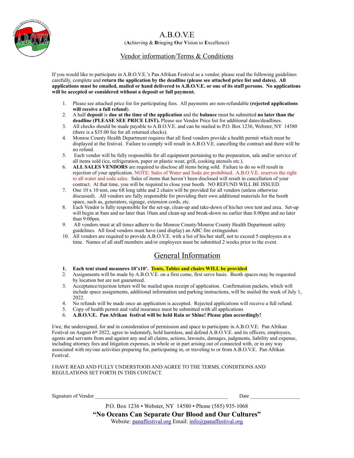A.B.O.V.E

(**A**chieving & **B**ringing **O**ur **V**ision to **E**xcellence)

#### Vendor information/Terms & Conditions

If you would like to participate in A.B.O.V.E.'s Pan Afrikan Festival as a vendor, please read the following guidelines carefully, complete and **return the application by the deadline (please see attached price list and dates). All applications must be emailed, mailed or hand delivered to A.B.O.V.E. or one of its staff persons. No applications will be accepted or considered without a deposit or full payment.** 

- 1. Please see attached price list for participating fees. All payments are non-refundable **(rejected applications will receive a full refund**).
- 2. A half **deposit** is **due at the time of the application** and the **balance** must be submitted **no later than the deadline (PLEASE SEE PRICE LIST).** Please see Vendor Price list for additional dates/deadlines.
- 3. All checks should be made payable to A.B.O.V.E. and can be mailed to P.O. Box 1236, Webster, NY 14580 (there is a \$35.00 fee for all returned checks).
- 4. Monroe County Health Department requires that all food vendors provide a health permit which must be displayed at the festival. Failure to comply will result in A.B.O.V.E. cancelling the contract and there will be no refund.
- 5. Each vendor will be fully responsible for all equipment pertaining to the preparation, sale and/or service of all items sold (ice, refrigeration, paper or plastic wear, grill, cooking utensils etc.).
- 6. **ALL SALES VENDORS** are required to disclose all items being sold. Failure to do so will result in rejection of your application. NOTE: Sales of Water and Soda are prohibited. A.B.O.V.E. reserves the right to all water and soda sales. Sales of items that haven't been disclosed will result in cancellation of your contract. At that time, you will be required to close your booth. NO REFUND WILL BE ISSUED.
- 7. One 10 x 10 tent, one 6ft long table and 2 chairs will be provided for all vendors (unless otherwise discussed). All vendors are fully responsible for providing their own additional materials for the booth space, such as, generators, signage, extension cords, etc.
- 8. Each Vendor is fully responsible for the set-up, clean-up and take-down of his/her own tent and area. Set-up will begin at 8am and no later than 10am and clean-up and break-down no earlier than 8:00pm and no later than 9:00pm.
- 9. All vendors must at all times adhere to the Monroe County/Monroe County Health Department safety guidelines. All food vendors must have (and display) an ABC fire extinguisher.
- 10. All vendors are required to provide A.B.O.V.E. with a list of his/her staff, not to exceed 5 employees at a time. Names of all staff members and/or employees must be submitted 2 weeks prior to the event.

## General Information

- **1. Each tent stand measures 10'x10'. Tents, Tables and chairs WILL be provided**  $\alpha$  assignments will be made by  $\Delta$  **D**  $\alpha$  **VE** on a first come first come bosis. Booth or
- 2. Assignments will be made by A.B.O.V.E. on a first come, first serve basis. Booth spaces may be requested by location but are not guaranteed.
- 3. Acceptance/rejection letters will be mailed upon receipt of application. Confirmation packets, which will include space assignments, additional information and parking instructions, will be mailed the week of July 1, 2022.
- 4. No refunds will be made once an application is accepted. Rejected applications will receive a full refund.
- 5. Copy of health permit and valid insurance must be submitted with all applications
- 6. **A.B.O.V.E. Pan Afrikan festival will be held Rain or Shine! Please plan accordingly!**

I/we, the undersigned, for and in consideration of permission and space to participate in A.B.O.V.E. Pan Afrikan Festival on August 6th 2022, agree to indemnify, hold harmless, and defend A.B.O.V.E. and its officers, employees, agents and servants from and against any and all claims, actions, lawsuits, damages, judgments, liability and expense, including attorney fees and litigation expenses, in whole or in part arising out of connected with, or in any way associated with my/our activities preparing for, participating in, or traveling to or from A.B.O.V.E. Pan Afrikan Festival.

I HAVE READ AND FULLY UNDERSTOOD AND AGREE TO THE TERMS, CONDITIONS AND REGULATIONS SET FORTH IN THIS CONTACT.

|  | Signature of Vendor | Date |
|--|---------------------|------|
|--|---------------------|------|

P.O. Box 1236 ▪ Webster, NY 14580 ▪ Phone (585) 935-1068 **"No Oceans Can Separate Our Blood and Our Cultures"** Website: [panaffestival.org](https://panaffestival.org/) Email: [info@panaffestival.org](mailto:info@panaffestival.org)